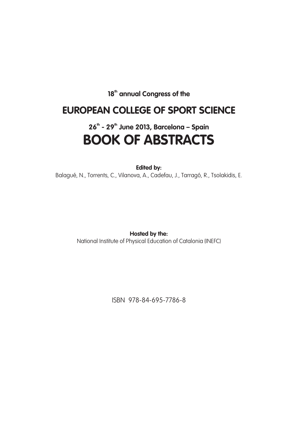18<sup>th</sup> annual Congress of the

## **EUROPEAN COLLEGE OF SPORT SCIENCE**

# **26th - 29th June 2013, Barcelona – Spain BOOK OF ABSTRACTS**

**Edited by:** 

Balagué, N., Torrents, C., Vilanova, A., Cadefau, J., Tarragó, R., Tsolakidis, E.

**Hosted by the:** National Institute of Physical Education of Catalonia (INEFC)

ISBN 978-84-695-7786-8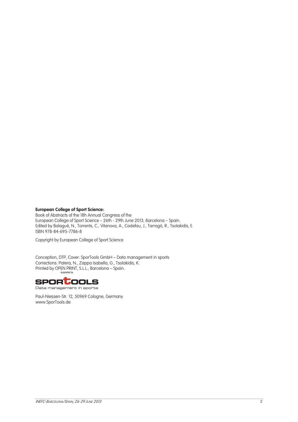### **European College of Sport Science:**

Book of Abstracts of the 18h Annual Congress of the European College of Sport Science – 26th - 29th June 2013, Barcelona – Spain. Edited by Balagué, N., Torrents, C., Vilanova, A., Cadefau, J., Tarragó, R., Tsolakidis, E. ISBN 978-84-695-7786-8

Copyright by European College of Sport Science

Conception, DTP, Cover: SporTools GmbH – Data management in sports Corrections: Patera, N., Zappa Isabella, G., Tsolakidis, K. Printed by OPEN PRINT, S.L.L., Barcelona – Spain.



Data management in sports

Paul-Niessen-Str. 12, 50969 Cologne, Germany www.SporTools.de